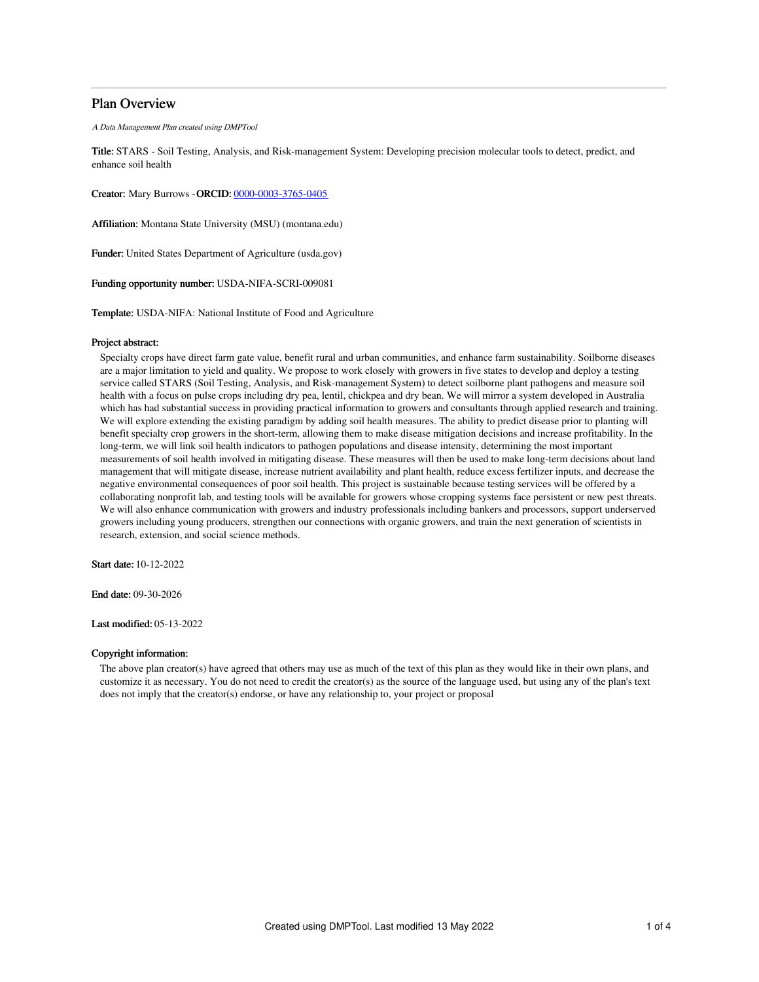# Plan Overview

A Data Management Plan created using DMPTool

Title: STARS - Soil Testing, Analysis, and Risk-management System: Developing precision molecular tools to detect, predict, and enhance soil health

Creator: Mary Burrows -ORCID: [0000-0003-3765-0405](https://orcid.org/0000-0003-3765-0405)

Affiliation: Montana State University (MSU) (montana.edu)

Funder: United States Department of Agriculture (usda.gov)

Funding opportunity number: USDA-NIFA-SCRI-009081

Template: USDA-NIFA: National Institute of Food and Agriculture

#### Project abstract:

Specialty crops have direct farm gate value, benefit rural and urban communities, and enhance farm sustainability. Soilborne diseases are a major limitation to yield and quality. We propose to work closely with growers in five states to develop and deploy a testing service called STARS (Soil Testing, Analysis, and Risk-management System) to detect soilborne plant pathogens and measure soil health with a focus on pulse crops including dry pea, lentil, chickpea and dry bean. We will mirror a system developed in Australia which has had substantial success in providing practical information to growers and consultants through applied research and training. We will explore extending the existing paradigm by adding soil health measures. The ability to predict disease prior to planting will benefit specialty crop growers in the short-term, allowing them to make disease mitigation decisions and increase profitability. In the long-term, we will link soil health indicators to pathogen populations and disease intensity, determining the most important measurements of soil health involved in mitigating disease. These measures will then be used to make long-term decisions about land management that will mitigate disease, increase nutrient availability and plant health, reduce excess fertilizer inputs, and decrease the negative environmental consequences of poor soil health. This project is sustainable because testing services will be offered by a collaborating nonprofit lab, and testing tools will be available for growers whose cropping systems face persistent or new pest threats. We will also enhance communication with growers and industry professionals including bankers and processors, support underserved growers including young producers, strengthen our connections with organic growers, and train the next generation of scientists in research, extension, and social science methods.

Start date: 10-12-2022

End date: 09-30-2026

Last modified: 05-13-2022

### Copyright information:

The above plan creator(s) have agreed that others may use as much of the text of this plan as they would like in their own plans, and customize it as necessary. You do not need to credit the creator(s) as the source of the language used, but using any of the plan's text does not imply that the creator(s) endorse, or have any relationship to, your project or proposal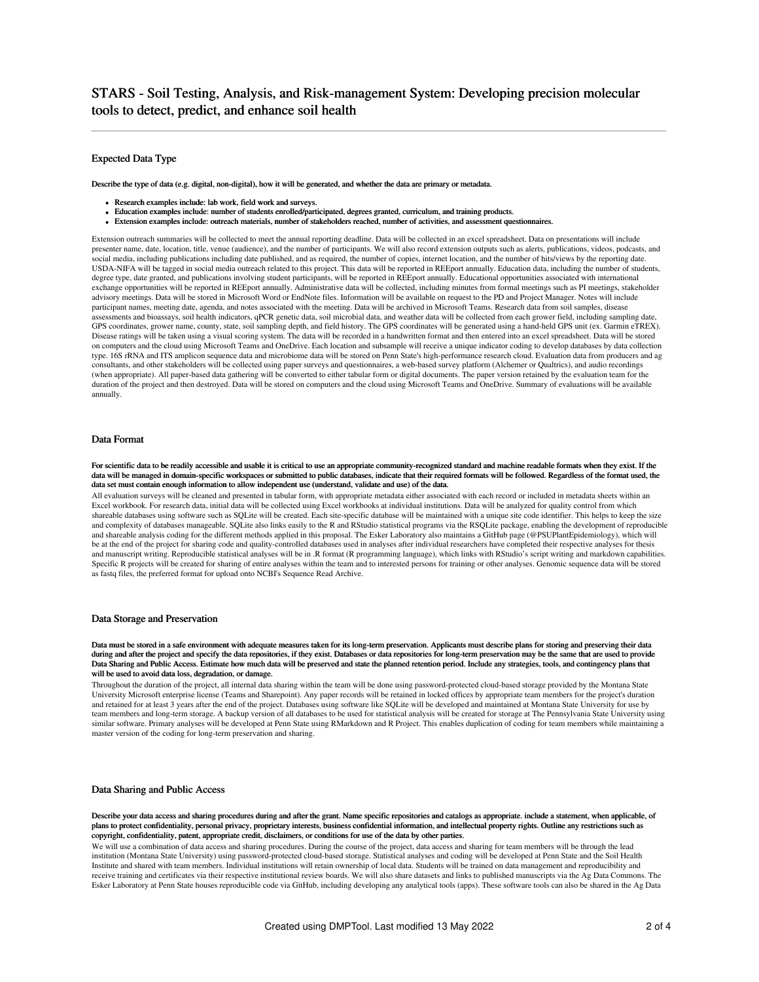### Expected Data Type

Describe the type of data (e.g. digital, non-digital), how it will be generated, and whether the data are primary or metadata.

- Research examples include: lab work, field work and surveys.
- 
- Education examples include: number of students enrolled/participated, degrees granted, curriculum, and training products.<br>■ Extension examples include: outreach materials, number of stakeholders reached, number of activ • Extension examples include: outreach materials, number of stakeholders reached, number of activities, and asses

Extension outreach summaries will be collected to meet the annual reporting deadline. Data will be collected in an excel spreadsheet. Data on presentations will include presenter name, date, location, title, venue (audience), and the number of participants. We will also record extension outputs such as alerts, publications, videos, podcasts, and social media, including publications including date published, and as required, the number of copies, internet location, and the number of hits/views by the reporting date. USDA-NIFA will be tagged in social media outreach related to this project. This data will be reported in REEport annually. Education data, including the number of students, degree type, date granted, and publications involving student participants, will be reported in REEport annually. Educational opportunities associated with international exchange opportunities will be reported in REEport annually. Administrative data will be collected, including minutes from formal meetings such as PI meetings, stakeholder advisory meetings. Data will be stored in Microsoft Word or EndNote files. Information will be available on request to the PD and Project Manager. Notes will include participant names, meeting date, agenda, and notes associated with the meeting. Data will be archived in Microsoft Teams. Research data from soil samples, disease assessments and bioassays, soil health indicators, qPCR genetic data, soil microbial data, and weather data will be collected from each grower field, including sampling date, GPS coordinates, grower name, county, state, soil sampling depth, and field history. The GPS coordinates will be generated using a hand-held GPS unit (ex. Garmin eTREX). Disease ratings will be taken using a visual scoring system. The data will be recorded in a handwritten format and then entered into an excel spreadsheet. Data will be stored on computers and the cloud using Microsoft Teams and OneDrive. Each location and subsample will receive a unique indicator coding to develop databases by data collection type. 16S rRNA and ITS amplicon sequence data and microbiome data will be stored on Penn State's high-performance research cloud. Evaluation data from producers and ag consultants, and other stakeholders will be collected using paper surveys and questionnaires, a web-based survey platform (Alchemer or Qualtrics), and audio recordings (when appropriate). All paper-based data gathering will be converted to either tabular form or digital documents. The paper version retained by the evaluation team for the duration of the project and then destroyed. Data will be stored on computers and the cloud using Microsoft Teams and OneDrive. Summary of evaluations will be available annually.

### Data Format

For scientific data to be readily accessible and usable it is critical to use an appropriate community-recognized standard and machine readable formats when they exist. If the<br>data will be managed in domain-specific worksp data set must contain enough information to allow independent use (understand, validate and use) of the data.

All evaluation surveys will be cleaned and presented in tabular form, with appropriate metadata either associated with each record or included in metadata sheets within an Excel workbook. For research data, initial data will be collected using Excel workbooks at individual institutions. Data will be analyzed for quality control from which shareable databases using software such as SQLite will be created. Each site-specific database will be maintained with a unique site code identifier. This helps to keep the size and complexity of databases manageable. SQLite also links easily to the R and RStudio statistical programs via the RSQLite package, enabling the development of reproducible and shareable analysis coding for the different methods applied in this proposal. The Esker Laboratory also maintains a GitHub page (@PSUPlantEpidemiology), which will be at the end of the project for sharing code and quality-controlled databases used in analyses after individual researchers have completed their respective analyses for thesis and manuscript writing. Reproducible statistical analyses will be in .R format (R programming language), which links with RStudio's script writing and markdown capabilities. Specific R projects will be created for sharing of entire analyses within the team and to interested persons for training or other analyses. Genomic sequence data will be stored as fastq files, the preferred format for upload onto NCBI's Sequence Read Archive.

#### Data Storage and Preservation

Data must be stored in a safe environment with adequate measures taken for its long-term preservation. Applicants must describe plans for storing and preserving their data during and after the project and specify the data repositories, if they exist. Databases or data repositories for long-term preservation may be the same that are used to provide Data Sharing and Public Access. Estimate how much data will be preserved and state the planned retention period. Include any strategies, tools, and contingency plans that will be used to avoid data loss, degradation, or damage.

Throughout the duration of the project, all internal data sharing within the team will be done using password-protected cloud-based storage provided by the Montana State University Microsoft enterprise license (Teams and Sharepoint). Any paper records will be retained in locked offices by appropriate team members for the project's duration and retained for at least 3 years after the end of the project. Databases using software like SQLite will be developed and maintained at Montana State University for use by team members and long-term storage. A backup version of all databases to be used for statistical analysis will be created for storage at The Pennsylvania State University using similar software. Primary analyses will be developed at Penn State using RMarkdown and R Project. This enables duplication of coding for team members while maintaining a master version of the coding for long-term preservation and sharing.

### Data Sharing and Public Access

Describe your data access and sharing procedures during and after the grant. Name specific repositories and catalogs as appropriate. include a statement, when applicable, of plans to protect confidentiality, personal privacy, proprietary interests, business confidential information, and intellectual property rights. Outline any restrictions such as copyright, confidentiality, patent, appropriate credit, disclaimers, or conditions for use of the data by other parties.

We will use a combination of data access and sharing procedures. During the course of the project, data access and sharing for team members will be through the lead institution (Montana State University) using password-protected cloud-based storage. Statistical analyses and coding will be developed at Penn State and the Soil Health Institute and shared with team members. Individual institutions will retain ownership of local data. Students will be trained on data management and reproducibility and receive training and certificates via their respective institutional review boards. We will also share datasets and links to published manuscripts via the Ag Data Commons. The Esker Laboratory at Penn State houses reproducible code via GitHub, including developing any analytical tools (apps). These software tools can also be shared in the Ag Data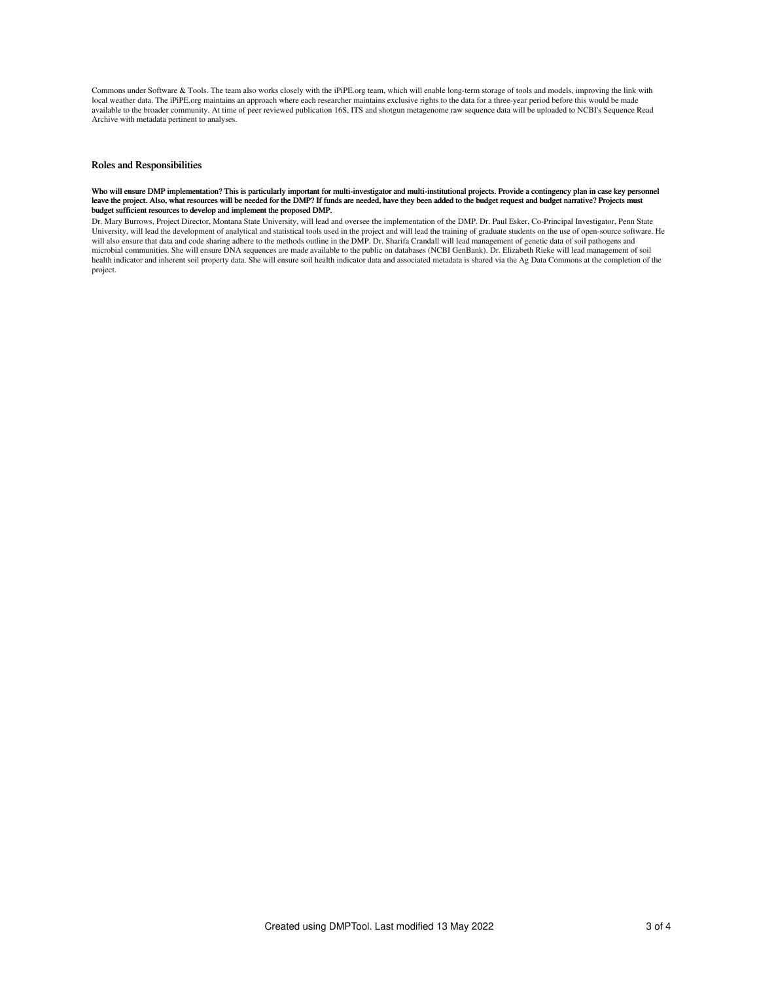Commons under Software & Tools. The team also works closely with the iPiPE.org team, which will enable long-term storage of tools and models, improving the link with local weather data. The iPiPE.org maintains an approach where each researcher maintains exclusive rights to the data for a three-year period before this would be made<br>available to the broader community. At time of peer rev Archive with metadata pertinent to analyses.

# Roles and Responsibilities

#### Who will ensure DMP implementation? This is particularly important for multi-investigator and multi-institutional projects. Provide a contingency plan in case key personnel leave the project. Also, what resources will be needed for the DMP? If funds are needed, have they been added to the budget request and budget narrative? Projects must budget sufficient resources to develop and implement the proposed DMP.

Dr. Mary Burrows, Project Director, Montana State University, will lead and oversee the implementation of the DMP. Dr. Paul Esker, Co-Principal Investigator, Penn State University, will lead the development of analytical and statistical tools used in the project and will lead the training of graduate students on the use of open-source software. He<br>will also ensure that data and code shari microbial communities. She will ensure DNA sequences are made available to the public on databases (NCBI GenBank). Dr. Elizabeth Rieke will lead management of soil health indicator and inherent soil property data. She will ensure soil health indicator data and associated metadata is shared via the Ag Data Commons at the completion of the project.